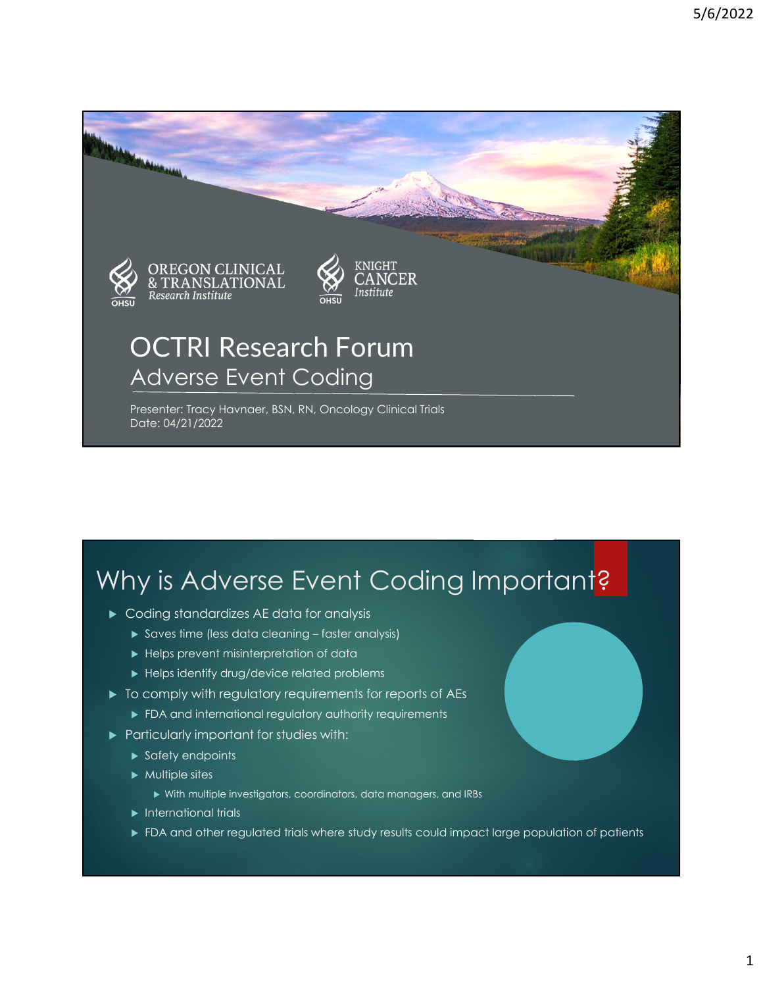

### Why is Adverse Event Coding Important?

- Coding standardizes AE data for analysis
	- Saves time (less data cleaning faster analysis)
	- Helps prevent misinterpretation of data
	- $\blacktriangleright$  Helps identify drug/device related problems
- $\triangleright$  To comply with regulatory requirements for reports of AEs
	- **FDA and international regulatory authority requirements**
- **Particularly important for studies with:** 
	- $\blacktriangleright$  Safety endpoints
	- $\blacktriangleright$  Multiple sites
		- With multiple investigators, coordinators, data managers, and IRBs
	- $\blacktriangleright$  International trials
	- **FDA and other regulated trials where study results could impact large population of patients**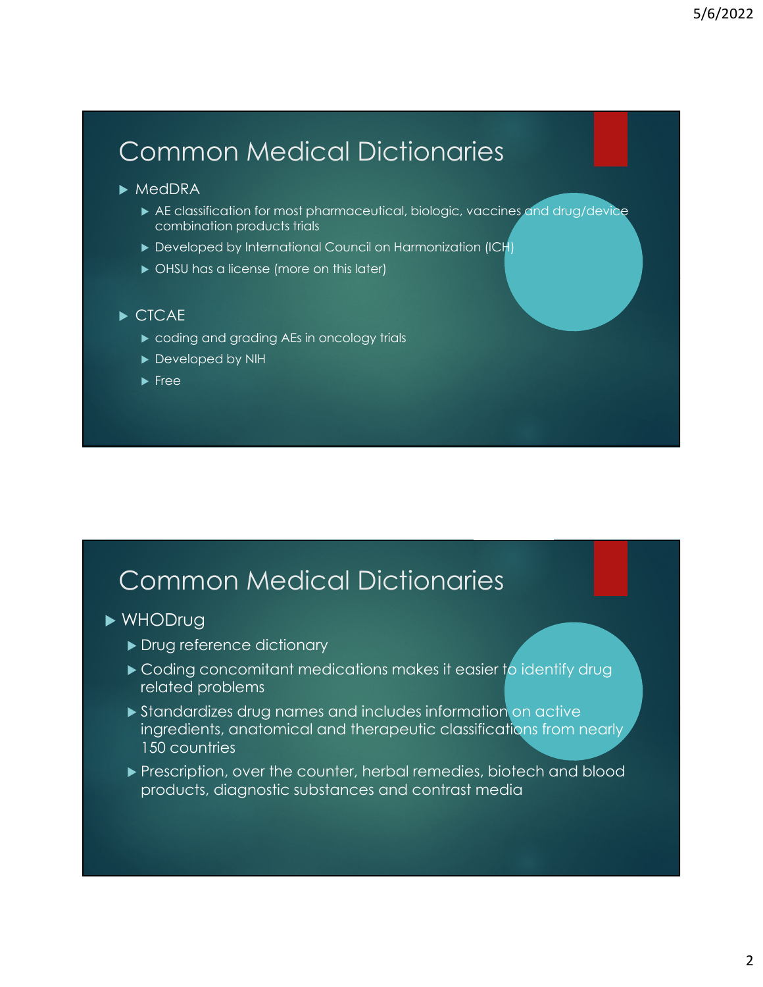# Common Medical Dictionaries

#### $\blacktriangleright$  MedDRA

- AE classification for most pharmaceutical, biologic, vaccines and drug/device combination products trials
- Developed by International Council on Harmonization (ICH)
- $\triangleright$  OHSU has a license (more on this later)

#### CTCAE

- $\triangleright$  coding and grading AEs in oncology trials
- Developed by NIH
- $\blacktriangleright$  Free

#### Common Medical Dictionaries

#### WHODrug

- Drug reference dictionary
- ► Coding concomitant medications makes it easier to identify drug related problems
- Standardizes drug names and includes information on active ingredients, anatomical and therapeutic classifications from nearly 150 countries
- **Prescription, over the counter, herbal remedies, biotech and blood** products, diagnostic substances and contrast media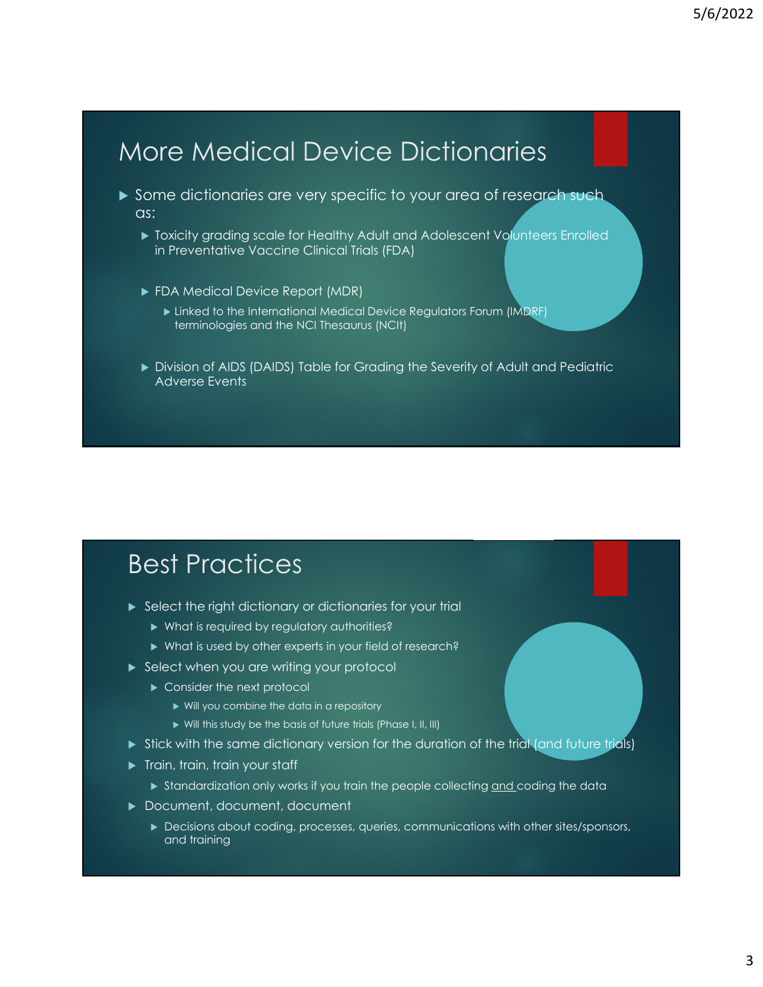### More Medical Device Dictionaries

- Some dictionaries are very specific to your area of research such as:
	- Toxicity grading scale for Healthy Adult and Adolescent Volunteers Enrolled in Preventative Vaccine Clinical Trials (FDA)
	- ▶ FDA Medical Device Report (MDR)
		- **Linked to the International Medical Device Regulators Forum (IMDRF)** terminologies and the NCI Thesaurus (NCIt)
	- Division of AIDS (DAIDS) Table for Grading the Severity of Adult and Pediatric Adverse Events

#### Best Practices

- Select the right dictionary or dictionaries for your trial
	- What is required by regulatory authorities?
	- ▶ What is used by other experts in your field of research?
- Select when you are writing your protocol
	- ▶ Consider the next protocol
		- ▶ Will you combine the data in a repository
		- ▶ Will this study be the basis of future trials (Phase I, II, III)
- $\triangleright$  Stick with the same dictionary version for the duration of the trial (and future trials)
- **Train, train, train your staff** 
	- Standardization only works if you train the people collecting and coding the data
- ▶ Document, document, document
	- Decisions about coding, processes, queries, communications with other sites/sponsors, and training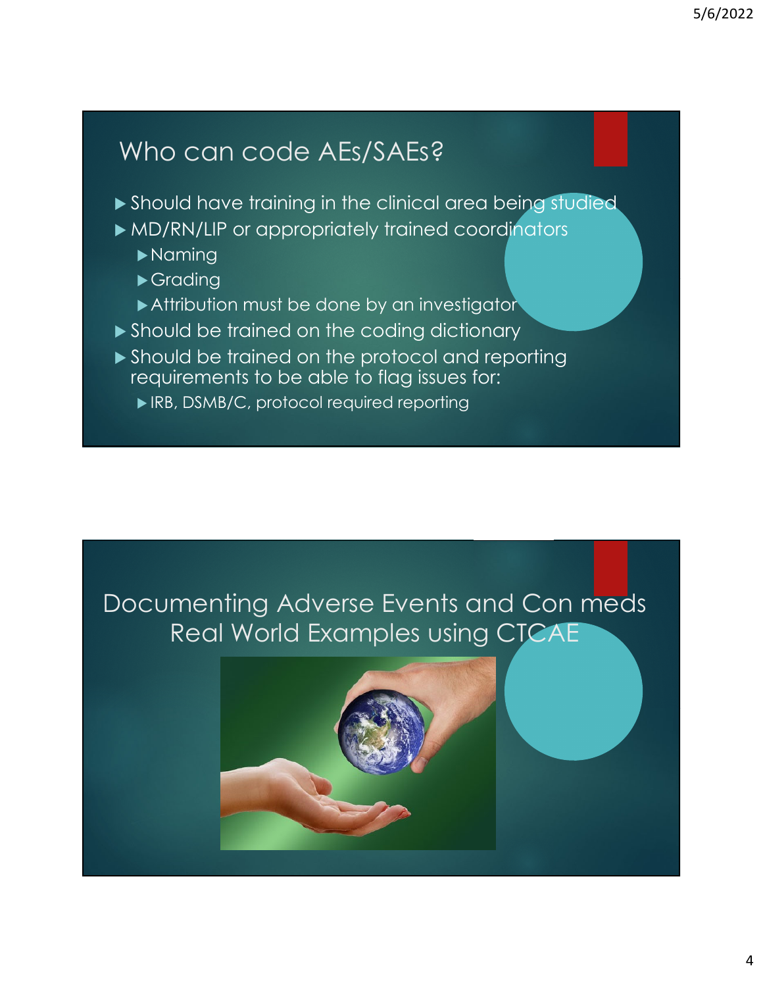# Who can code AEs/SAEs?

- Should have training in the clinical area being studied
- MD/RN/LIP or appropriately trained coordinators
	- Naming
	- **Grading**
	- Attribution must be done by an investigator
- Should be trained on the coding dictionary
- ▶ Should be trained on the protocol and reporting requirements to be able to flag issues for:
	- ▶ IRB, DSMB/C, protocol required reporting

### Documenting Adverse Events and Con meds Real World Examples using CTCAE

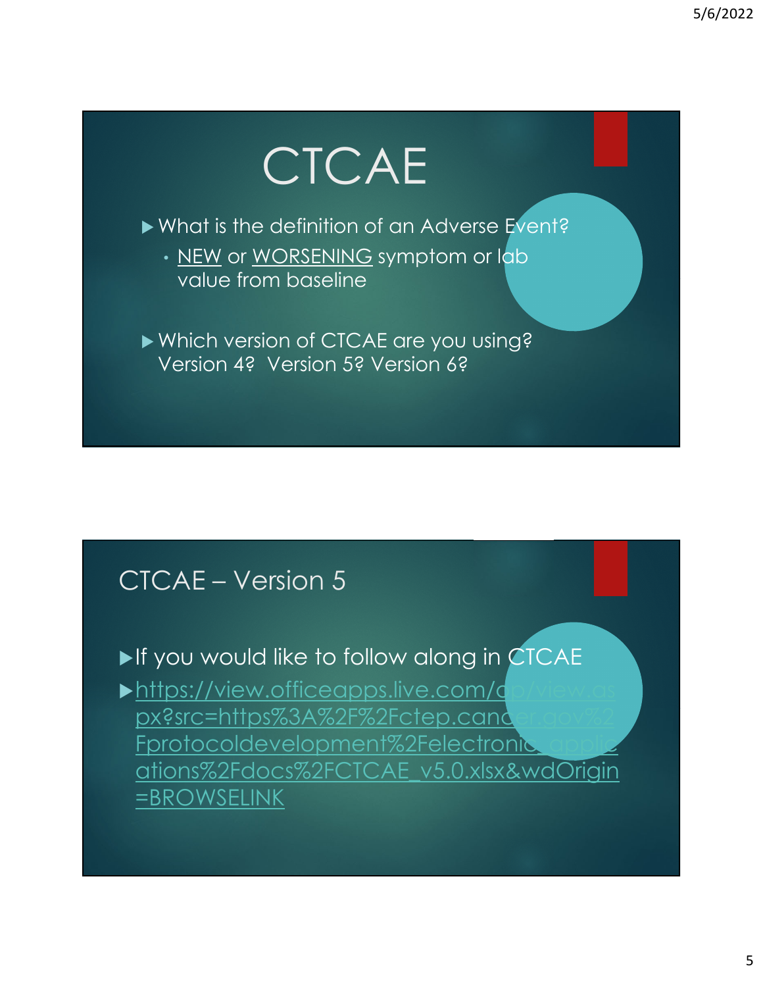# **CTCAE**

▶ What is the definition of an Adverse Event?

• NEW or WORSENING symptom or lab value from baseline

Which version of CTCAE are you using? Version 4? Version 5? Version 6?

#### CTCAE – Version 5

#### If you would like to follow along in CTCAE

 $\blacktriangleright$ https://view.officeapps.live.com/d px?src=https%3A%2F%2Fctep.cand Fprotocoldevelopment%2Felectronic ations%2Fdocs%2FCTCAE\_v5.0.xlsx&wdOrigin =BROWSELINK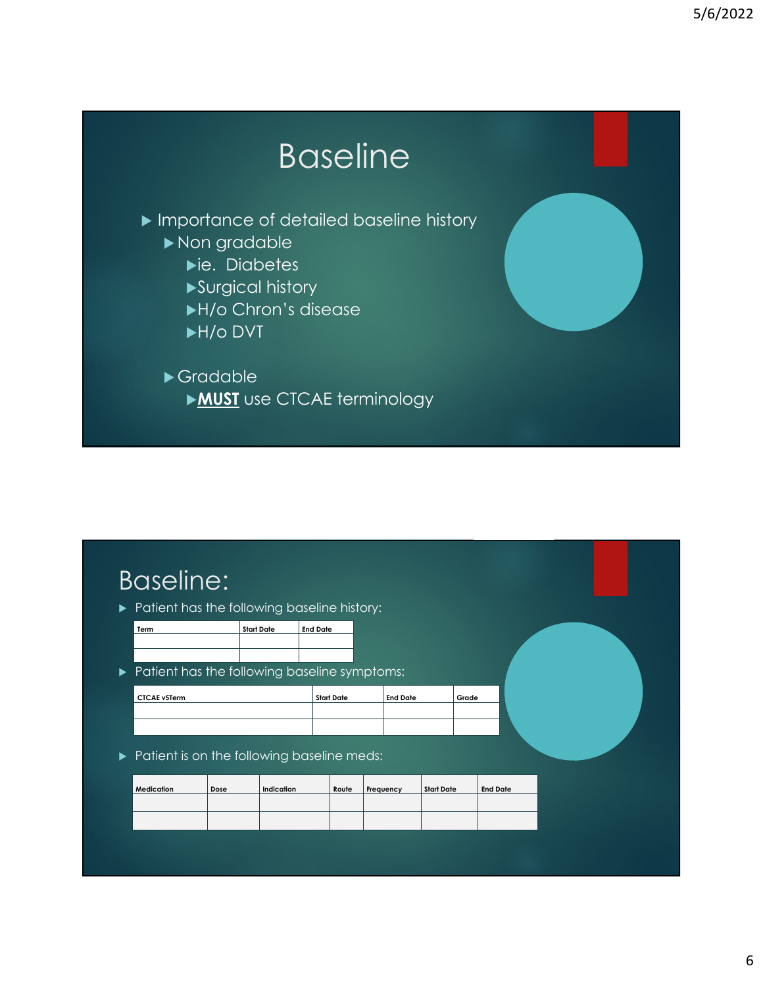# Baseline

**Importance of detailed baseline history** 

- Non gradable
	- ie. Diabetes
	- Surgical history
	- H/o Chron's disease
	- H/o DVT

#### Gradable **MUST** use CTCAE terminology

### Baseline:

Patient has the following baseline history:

| Term | Start Date | <b>End Date</b> |  |  |
|------|------------|-----------------|--|--|
|      |            |                 |  |  |
|      |            |                 |  |  |

 $\blacktriangleright$  Patient has the following baseline symptoms:

| <b>Start Date</b> | Grade           |
|-------------------|-----------------|
|                   |                 |
|                   |                 |
|                   |                 |
|                   | <b>End Date</b> |

Patient is on the following baseline meds:

| Medication | Dose | Indication | Route | Frequency | <b>Start Date</b> | <b>End Date</b> |
|------------|------|------------|-------|-----------|-------------------|-----------------|
|            |      |            |       |           |                   |                 |
|            |      |            |       |           |                   |                 |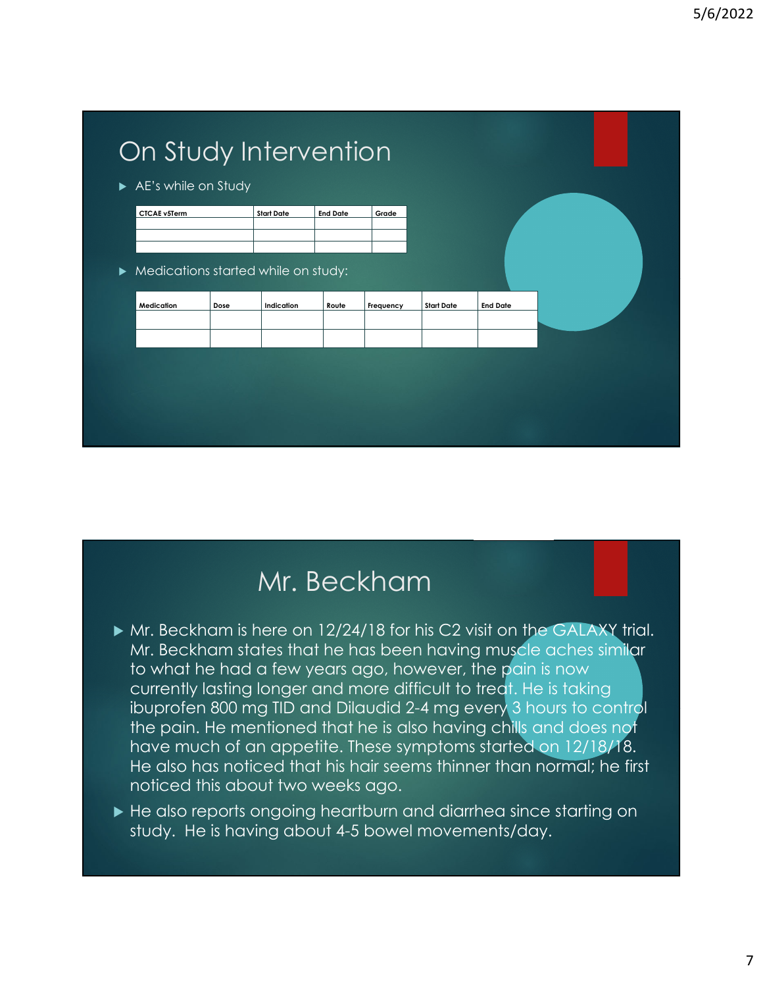

### Mr. Beckham

- Mr. Beckham is here on 12/24/18 for his C2 visit on the GALAXY trial. Mr. Beckham states that he has been having muscle aches similar to what he had a few years ago, however, the pain is now currently lasting longer and more difficult to treat. He is taking ibuprofen 800 mg TID and Dilaudid 2-4 mg every 3 hours to control the pain. He mentioned that he is also having chills and does not have much of an appetite. These symptoms started on 12/18/18. He also has noticed that his hair seems thinner than normal; he first noticed this about two weeks ago.
- ► He also reports ongoing heartburn and diarrhea since starting on study. He is having about 4-5 bowel movements/day.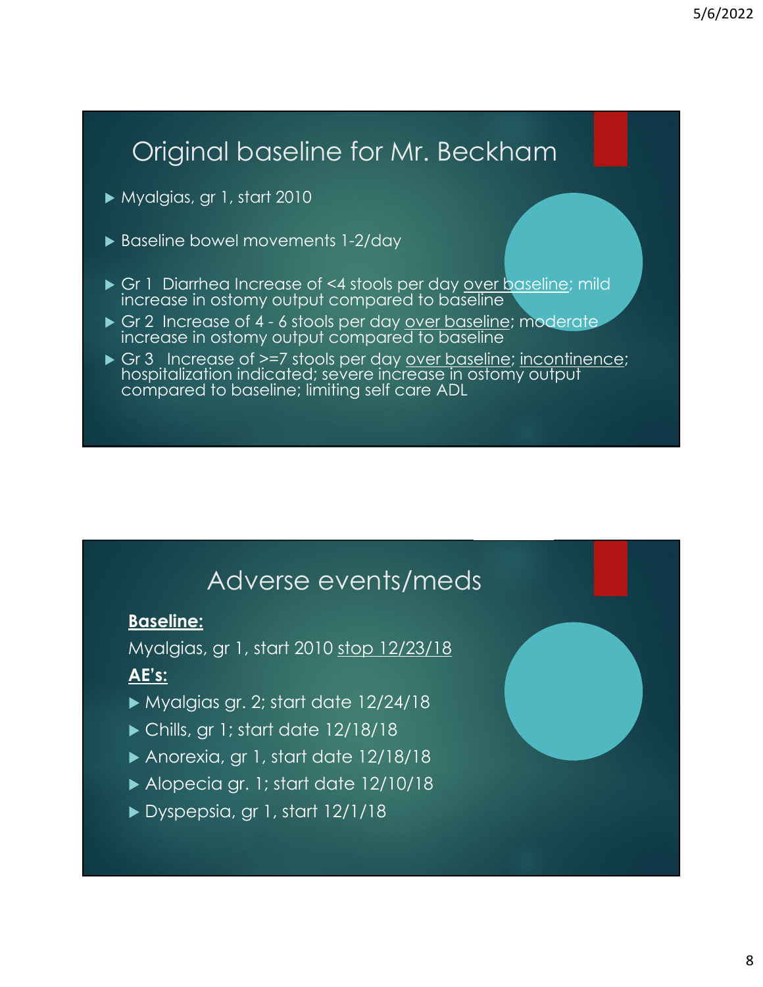# Original baseline for Mr. Beckham

- Myalgias, gr 1, start 2010
- ▶ Baseline bowel movements 1-2/day
- Gr 1 Diarrhea Increase of <4 stools per day over baseline; mild increase in ostomy output compared to baseline
- Gr 2 Increase of 4 6 stools per day over baseline; moderate increase in ostomy output compared to baseline
- Gr 3 Increase of >=7 stools per day <u>over baseline</u>; incontinence; hospitalization indicated; severe increase in ostomy output compared to baseline; limiting self care ADL

#### Adverse events/meds

#### **Baseline:**

Myalgias, gr 1, start 2010 stop 12/23/18

#### **AE's:**

- Myalgias gr. 2; start date 12/24/18
- ▶ Chills, gr 1; start date 12/18/18
- Anorexia, gr 1, start date 12/18/18
- Alopecia gr. 1; start date 12/10/18
- Dyspepsia, gr 1, start 12/1/18

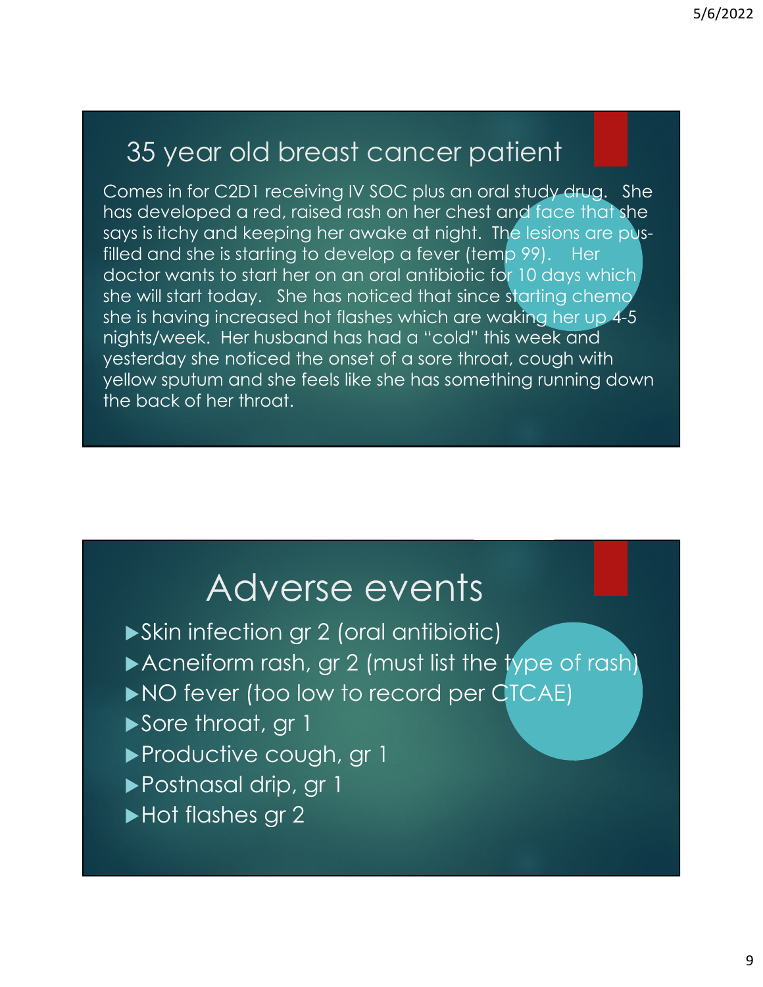# 35 year old breast cancer patient

Comes in for C2D1 receiving IV SOC plus an oral study drug. She has developed a red, raised rash on her chest and face that she says is itchy and keeping her awake at night. The lesions are pusfilled and she is starting to develop a fever (temp 99). Her doctor wants to start her on an oral antibiotic for 10 days which she will start today. She has noticed that since starting chemo she is having increased hot flashes which are waking her up 4-5 nights/week. Her husband has had a "cold" this week and yesterday she noticed the onset of a sore throat, cough with yellow sputum and she feels like she has something running down the back of her throat.

# Adverse events

- Skin infection gr 2 (oral antibiotic) Acneiform rash, gr 2 (must list the type of rash) NO fever (too low to record per CTCAE) Sore throat, gr 1 Productive cough, gr 1 Postnasal drip, gr 1
- Hot flashes gr 2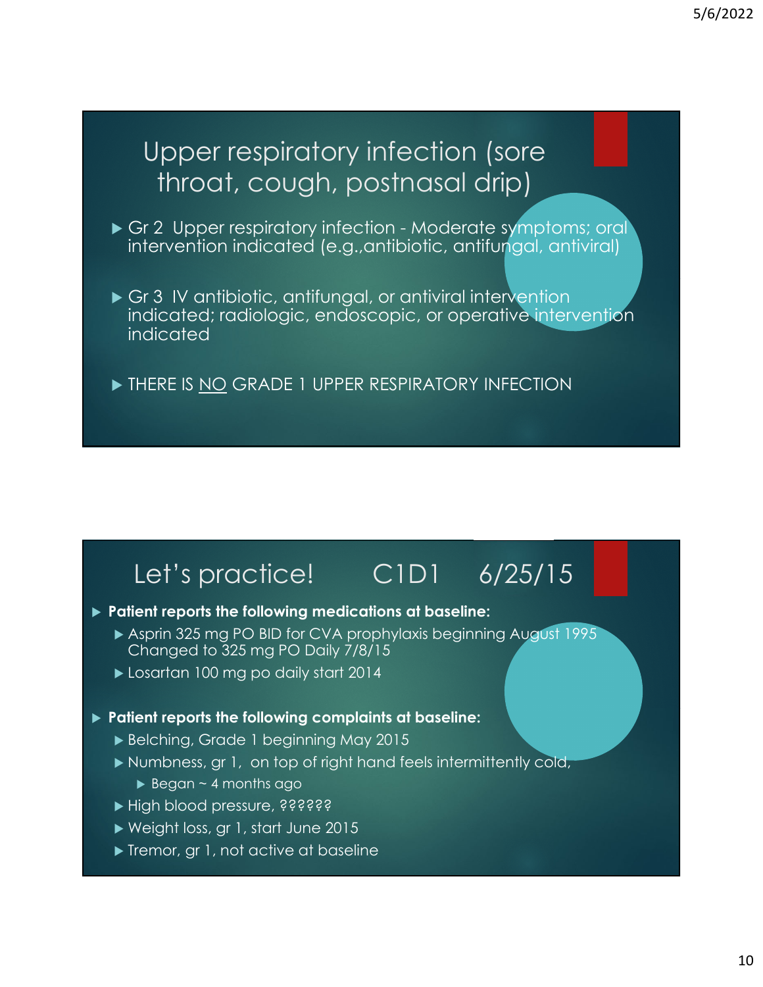### Upper respiratory infection (sore throat, cough, postnasal drip)

- Gr 2 Upper respiratory infection Moderate symptoms; oral intervention indicated (e.g.,antibiotic, antifungal, antiviral)
- Gr 3 IV antibiotic, antifungal, or antiviral intervention indicated; radiologic, endoscopic, or operative intervention indicated
- THERE IS NO GRADE 1 UPPER RESPIRATORY INFECTION

# Let's practice! C1D1 6/25/15

- **Patient reports the following medications at baseline:**
	- Asprin 325 mg PO BID for CVA prophylaxis beginning August 1995 Changed to 325 mg PO Daily 7/8/15
	- Losartan 100 mg po daily start 2014

#### **Patient reports the following complaints at baseline:**

- Belching, Grade 1 beginning May 2015
- Numbness, gr 1, on top of right hand feels intermittently cold,
	- $\triangleright$  Began ~ 4 months ago
- High blood pressure, ??????
- Weight loss, gr 1, start June 2015
- Tremor, gr 1, not active at baseline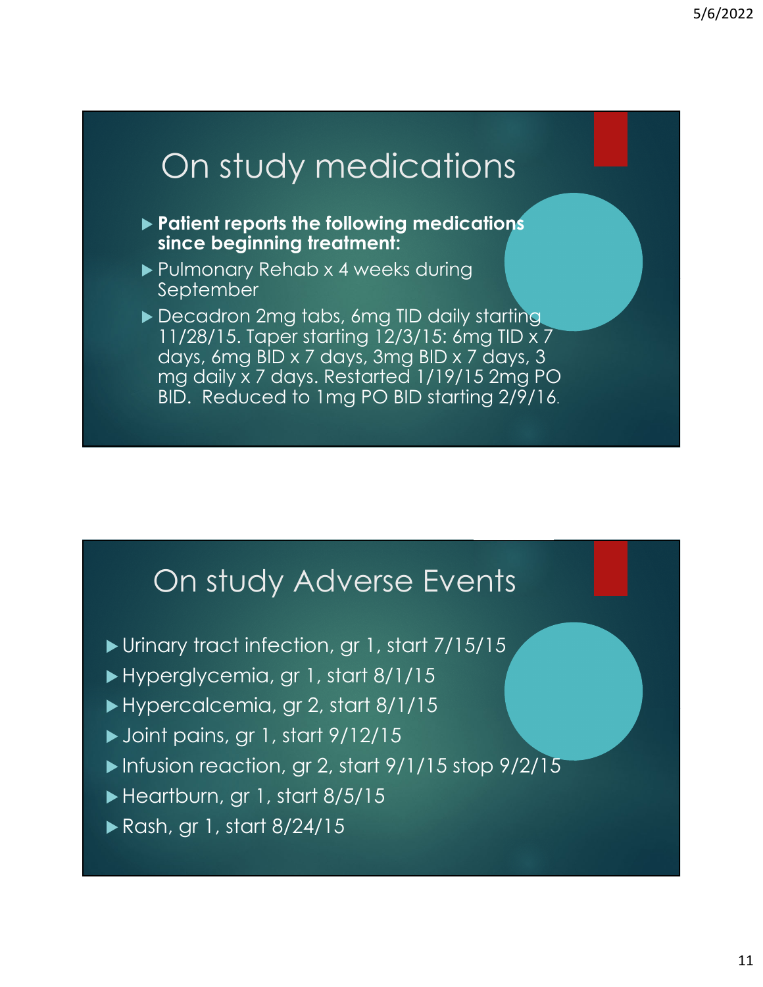# On study medications

- **Patient reports the following medications since beginning treatment:**
- ▶ Pulmonary Rehab x 4 weeks during **September**
- ▶ Decadron 2mg tabs, 6mg TID daily starting 11/28/15. Taper starting 12/3/15: 6mg TID x 7 days, 6mg BID x 7 days, 3mg BID x 7 days, 3 mg daily x 7 days. Restarted 1/19/15 2mg PO BID. Reduced to 1mg PO BID starting 2/9/16.

### On study Adverse Events

- Urinary tract infection, gr 1, start 7/15/15
- Hyperglycemia, gr 1, start 8/1/15
- Hypercalcemia, gr 2, start 8/1/15
- Joint pains, gr 1, start 9/12/15
- Infusion reaction, gr 2, start  $9/1/15$  stop  $9/2/15$
- Heartburn, gr 1, start 8/5/15
- Rash, gr 1, start 8/24/15